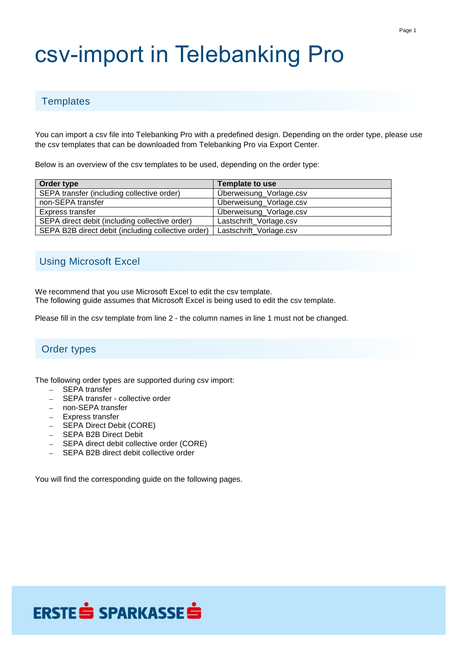# csv-import in Telebanking Pro

#### **Templates**

You can import a csv file into Telebanking Pro with a predefined design. Depending on the order type, please use the csv templates that can be downloaded from Telebanking Pro via Export Center.

Below is an overview of the csv templates to be used, depending on the order type:

| Order type                                         | Template to use         |
|----------------------------------------------------|-------------------------|
| SEPA transfer (including collective order)         | Überweisung_Vorlage.csv |
| non-SEPA transfer                                  | Überweisung_Vorlage.csv |
| Express transfer                                   | Überweisung_Vorlage.csv |
| SEPA direct debit (including collective order)     | Lastschrift_Vorlage.csv |
| SEPA B2B direct debit (including collective order) | Lastschrift_Vorlage.csv |

#### Using Microsoft Excel

We recommend that you use Microsoft Excel to edit the csv template. The following guide assumes that Microsoft Excel is being used to edit the csv template.

Please fill in the csv template from line 2 - the column names in line 1 must not be changed.

#### Order types

The following order types are supported during csv import:

- SEPA transfer
- SEPA transfer collective order
- non-SEPA transfer
- Express transfer
- **SEPA Direct Debit (CORE)**
- SEPA B2B Direct Debit
- SEPA direct debit collective order (CORE)
- SEPA B2B direct debit collective order

You will find the corresponding guide on the following pages.

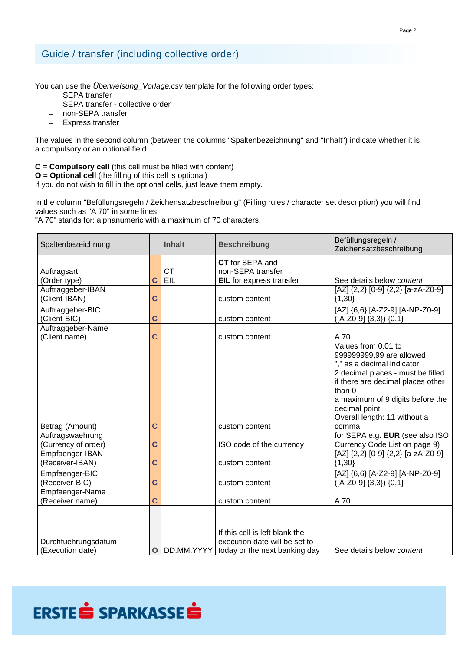#### Guide / transfer (including collective order)

You can use the *Überweisung\_Vorlage.csv* template for the following order types:

- SEPA transfer
- SEPA transfer collective order
- non-SEPA transfer
- Express transfer

The values in the second column (between the columns "Spaltenbezeichnung" and "Inhalt") indicate whether it is a compulsory or an optional field.

**C = Compulsory cell** (this cell must be filled with content)

**O = Optional cell** (the filling of this cell is optional)

If you do not wish to fill in the optional cells, just leave them empty.

In the column "Befüllungsregeln / Zeichensatzbeschreibung" (Filling rules / character set description) you will find values such as "A 70" in some lines.

"A 70" stands for: alphanumeric with a maximum of 70 characters.

| Spaltenbezeichnung                                        |                     | <b>Inhalt</b> | <b>Beschreibung</b>                                                                                         | Befüllungsregeln /<br>Zeichensatzbeschreibung                                                                                                                                                                                                          |
|-----------------------------------------------------------|---------------------|---------------|-------------------------------------------------------------------------------------------------------------|--------------------------------------------------------------------------------------------------------------------------------------------------------------------------------------------------------------------------------------------------------|
| Auftragsart<br>(Order type)                               | С                   | СT<br>EIL     | CT for SEPA and<br>non-SEPA transfer<br>EIL for express transfer                                            | See details below content                                                                                                                                                                                                                              |
| Auftraggeber-IBAN<br>(Client-IBAN)                        | С                   |               | custom content                                                                                              | [AZ] {2,2} [0-9] {2,2} [a-zA-Z0-9]<br>${1,30}$                                                                                                                                                                                                         |
| Auftraggeber-BIC<br>(Client-BIC)                          | С                   |               | custom content                                                                                              | [AZ] {6,6} [A-Z2-9] [A-NP-Z0-9]<br>$([A-Z0-9] \{3,3\}) \{0,1\}$                                                                                                                                                                                        |
| Auftraggeber-Name<br>(Client name)                        | С                   |               | custom content                                                                                              | A 70                                                                                                                                                                                                                                                   |
|                                                           |                     |               |                                                                                                             | Values from 0.01 to<br>999999999,99 are allowed<br>"," as a decimal indicator<br>2 decimal places - must be filled<br>if there are decimal places other<br>than 0<br>a maximum of 9 digits before the<br>decimal point<br>Overall length: 11 without a |
| Betrag (Amount)<br>Auftragswaehrung                       | С                   |               | custom content                                                                                              | comma<br>for SEPA e.g. EUR (see also ISO                                                                                                                                                                                                               |
| (Currency of order)<br>Empfaenger-IBAN<br>(Receiver-IBAN) | $\overline{C}$<br>Ć |               | ISO code of the currency<br>custom content                                                                  | Currency Code List on page 9)<br>[AZ] {2,2} [0-9] {2,2} [a-zA-Z0-9]<br>${1,30}$                                                                                                                                                                        |
| Empfaenger-BIC<br>(Receiver-BIC)                          | C                   |               | custom content                                                                                              | [AZ] {6,6} [A-Z2-9] [A-NP-Z0-9]<br>$([A-Z0-9] \{3,3\}) \{0,1\}$                                                                                                                                                                                        |
| Empfaenger-Name<br>(Receiver name)                        | С                   |               | custom content                                                                                              | A 70                                                                                                                                                                                                                                                   |
| Durchfuehrungsdatum<br>(Execution date)                   | $\overline{O}$      |               | If this cell is left blank the<br>execution date will be set to<br>DD.MM.YYYY today or the next banking day | See details below content                                                                                                                                                                                                                              |

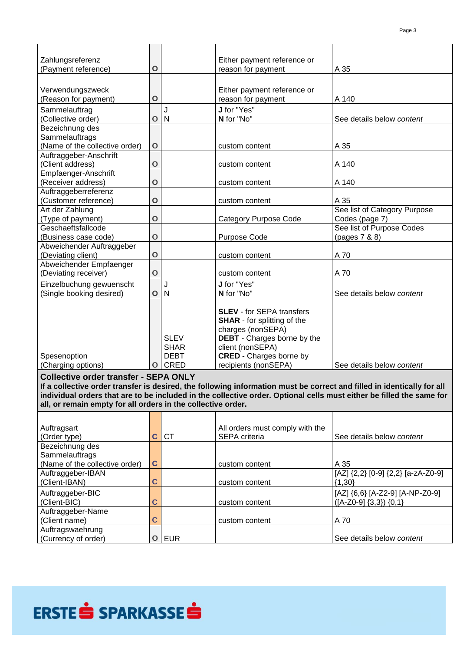| Zahlungsreferenz               |             |             | Either payment reference or        |                              |
|--------------------------------|-------------|-------------|------------------------------------|------------------------------|
| (Payment reference)            | $\mathbf O$ |             | reason for payment                 | A 35                         |
|                                |             |             |                                    |                              |
|                                |             |             |                                    |                              |
| Verwendungszweck               |             |             | Either payment reference or        |                              |
| (Reason for payment)           | $\mathbf O$ |             | reason for payment                 | A 140                        |
| Sammelauftrag                  |             | J           | J for "Yes"                        |                              |
| (Collective order)             | $\mathbf O$ | N           | N for "No"                         | See details below content    |
| Bezeichnung des                |             |             |                                    |                              |
| Sammelauftrags                 |             |             |                                    |                              |
| (Name of the collective order) | $\mathbf O$ |             | custom content                     | A 35                         |
| Auftraggeber-Anschrift         |             |             |                                    |                              |
| (Client address)               | $\mathbf O$ |             | custom content                     | A 140                        |
| Empfaenger-Anschrift           |             |             |                                    |                              |
| (Receiver address)             | $\mathbf O$ |             | custom content                     | A 140                        |
| Auftraggeberreferenz           |             |             |                                    |                              |
| (Customer reference)           | $\mathbf O$ |             | custom content                     | A 35                         |
| Art der Zahlung                |             |             |                                    | See list of Category Purpose |
| (Type of payment)              | $\mathbf O$ |             | <b>Category Purpose Code</b>       | Codes (page 7)               |
| Geschaeftsfallcode             |             |             |                                    | See list of Purpose Codes    |
| (Business case code)           | $\mathbf O$ |             | Purpose Code                       | (pages 7 & 8)                |
| Abweichender Auftraggeber      |             |             |                                    |                              |
| (Deviating client)             | $\mathbf O$ |             | custom content                     | A 70                         |
| Abweichender Empfaenger        |             |             |                                    |                              |
| (Deviating receiver)           | $\mathbf O$ |             | custom content                     | A 70                         |
| Einzelbuchung gewuenscht       |             | J           | J for "Yes"                        |                              |
| (Single booking desired)       | $\mathbf O$ | N           | N for "No"                         | See details below content    |
|                                |             |             |                                    |                              |
|                                |             |             | <b>SLEV</b> - for SEPA transfers   |                              |
|                                |             |             | <b>SHAR</b> - for splitting of the |                              |
|                                |             |             | charges (nonSEPA)                  |                              |
|                                |             | <b>SLEV</b> | <b>DEBT</b> - Charges borne by the |                              |
|                                |             | <b>SHAR</b> | client (nonSEPA)                   |                              |
| Spesenoption                   |             | <b>DEBT</b> | <b>CRED</b> - Charges borne by     |                              |
| (Charging options)             |             | O CRED      | recipients (nonSEPA)               | See details below content    |

#### **Collective order transfer - SEPA ONLY**

If a collective order transfer is desired, the following information must be correct and filled in identically for all individual orders that are to be included in the collective order. Optional cells must either be filled the same for **all, or remain empty for all orders in the collective order.**

| Auftragsart<br>(Order type)    | C. | <b>CT</b> | All orders must comply with the<br><b>SEPA</b> criteria | See details below content          |
|--------------------------------|----|-----------|---------------------------------------------------------|------------------------------------|
| Bezeichnung des                |    |           |                                                         |                                    |
| Sammelauftrags                 |    |           |                                                         |                                    |
| (Name of the collective order) | C  |           | custom content                                          | A 35                               |
| Auftraggeber-IBAN              |    |           |                                                         | [AZ] {2,2} [0-9] {2,2} [a-zA-Z0-9] |
| (Client-IBAN)                  | С  |           | custom content                                          | ${1,30}$                           |
| Auftraggeber-BIC               |    |           |                                                         | [AZ] {6,6} [A-Z2-9] [A-NP-Z0-9]    |
| (Client-BIC)                   |    |           | custom content                                          | $([A-Z0-9] \{3,3\}) \{0,1\}$       |
| Auftraggeber-Name              |    |           |                                                         |                                    |
| (Client name)                  | С  |           | custom content                                          | A 70                               |
| Auftragswaehrung               |    |           |                                                         |                                    |
| (Currency of order)            | O  | EUR       |                                                         | See details below content          |



# ERSTE SPARKASSES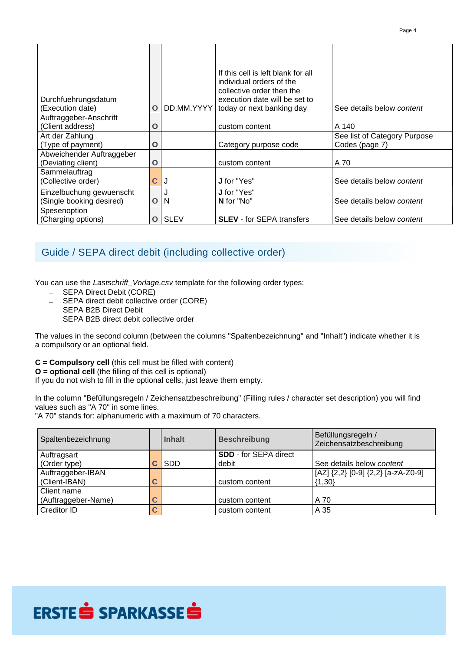| Durchfuehrungsdatum<br>(Execution date)         | O | DD.MM.YYYY  | If this cell is left blank for all<br>individual orders of the<br>collective order then the<br>execution date will be set to<br>today or next banking day | See details below content    |
|-------------------------------------------------|---|-------------|-----------------------------------------------------------------------------------------------------------------------------------------------------------|------------------------------|
| Auftraggeber-Anschrift                          |   |             |                                                                                                                                                           |                              |
| (Client address)                                | O |             | custom content                                                                                                                                            | A 140                        |
| Art der Zahlung                                 |   |             |                                                                                                                                                           | See list of Category Purpose |
| (Type of payment)                               | O |             | Category purpose code                                                                                                                                     | Codes (page 7)               |
| Abweichender Auftraggeber<br>(Deviating client) | O |             | custom content                                                                                                                                            | A 70                         |
| Sammelauftrag                                   |   |             |                                                                                                                                                           |                              |
| (Collective order)                              | C | J           | <b>J</b> for "Yes"                                                                                                                                        | See details below content    |
| Einzelbuchung gewuenscht                        |   |             | <b>J</b> for "Yes"                                                                                                                                        |                              |
| (Single booking desired)                        | O | N           | N for "No"                                                                                                                                                | See details below content    |
| Spesenoption                                    |   |             |                                                                                                                                                           |                              |
| (Charging options)                              | O | <b>SLEV</b> | <b>SLEV</b> - for SEPA transfers                                                                                                                          | See details below content    |

#### Guide / SEPA direct debit (including collective order)

You can use the *Lastschrift\_Vorlage.csv* template for the following order types:

- SEPA Direct Debit (CORE)
- SEPA direct debit collective order (CORE)
- SEPA B2B Direct Debit
- SEPA B2B direct debit collective order

The values in the second column (between the columns "Spaltenbezeichnung" and "Inhalt") indicate whether it is a compulsory or an optional field.

**C = Compulsory cell** (this cell must be filled with content)

**O = optional cell** (the filling of this cell is optional)

If you do not wish to fill in the optional cells, just leave them empty.

In the column "Befüllungsregeln / Zeichensatzbeschreibung" (Filling rules / character set description) you will find values such as "A 70" in some lines.

"A 70" stands for: alphanumeric with a maximum of 70 characters.

| Spaltenbezeichnung  |   | Inhalt                       | <b>Beschreibung</b> | Befüllungsregeln /<br>Zeichensatzbeschreibung |
|---------------------|---|------------------------------|---------------------|-----------------------------------------------|
| Auftragsart         |   | <b>SDD</b> - for SEPA direct |                     |                                               |
| (Order type)        |   | <b>SDD</b>                   | debit               | See details below content                     |
| Auftraggeber-IBAN   |   |                              |                     | [AZ] $\{2,2\}$ [0-9] $\{2,2\}$ [a-zA-Z0-9]    |
| (Client-IBAN)       | C |                              | custom content      | $\{1,30\}$                                    |
| Client name         |   |                              |                     |                                               |
| (Auftraggeber-Name) | C |                              | custom content      | A 70                                          |
| Creditor ID         | C |                              | custom content      | A 35                                          |

## ERSTE SPARKASSES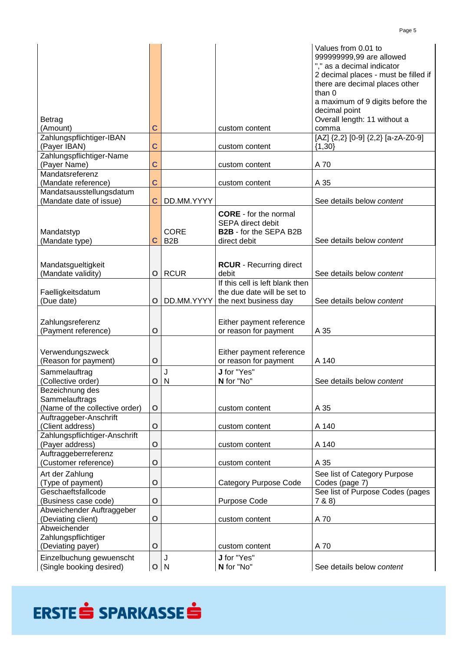|                                                      |                |                  |                                 | Values from 0.01 to                               |
|------------------------------------------------------|----------------|------------------|---------------------------------|---------------------------------------------------|
|                                                      |                |                  |                                 | 999999999,99 are allowed                          |
|                                                      |                |                  |                                 | "," as a decimal indicator                        |
|                                                      |                |                  |                                 | 2 decimal places - must be filled if              |
|                                                      |                |                  |                                 | there are decimal places other                    |
|                                                      |                |                  |                                 | than 0                                            |
|                                                      |                |                  |                                 | a maximum of 9 digits before the<br>decimal point |
| <b>Betrag</b>                                        |                |                  |                                 | Overall length: 11 without a                      |
| (Amount)                                             | C              |                  | custom content                  | comma                                             |
| Zahlungspflichtiger-IBAN                             |                |                  |                                 | [AZ] {2,2} [0-9] {2,2} [a-zA-Z0-9]                |
| (Payer IBAN)                                         | Ć              |                  | custom content                  | ${1,30}$                                          |
| Zahlungspflichtiger-Name                             |                |                  |                                 |                                                   |
| (Payer Name)                                         | C              |                  | custom content                  | A 70                                              |
| Mandatsreferenz                                      |                |                  |                                 |                                                   |
| (Mandate reference)                                  | C              |                  | custom content                  | A 35                                              |
| Mandatsausstellungsdatum                             |                |                  |                                 |                                                   |
| (Mandate date of issue)                              | C              | DD.MM.YYYY       |                                 | See details below content                         |
|                                                      |                |                  | <b>CORE</b> - for the normal    |                                                   |
|                                                      |                |                  | <b>SEPA direct debit</b>        |                                                   |
| Mandatstyp                                           |                | <b>CORE</b>      | <b>B2B</b> - for the SEPA B2B   |                                                   |
| (Mandate type)                                       | С              | B <sub>2</sub> B | direct debit                    | See details below content                         |
|                                                      |                |                  |                                 |                                                   |
|                                                      |                |                  |                                 |                                                   |
| Mandatsgueltigkeit                                   |                |                  | <b>RCUR</b> - Recurring direct  |                                                   |
| (Mandate validity)                                   | O              | <b>RCUR</b>      | debit                           | See details below content                         |
|                                                      |                |                  | If this cell is left blank then |                                                   |
| Faelligkeitsdatum<br>(Due date)                      | $\mathbf O$    | DD.MM.YYYY       | the due date will be set to     | See details below content                         |
|                                                      |                |                  | the next business day           |                                                   |
|                                                      |                |                  |                                 |                                                   |
| Zahlungsreferenz                                     |                |                  | Either payment reference        |                                                   |
| (Payment reference)                                  | $\mathbf O$    |                  | or reason for payment           | A 35                                              |
|                                                      |                |                  |                                 |                                                   |
| Verwendungszweck                                     |                |                  | Either payment reference        |                                                   |
| (Reason for payment)                                 | $\mathbf O$    |                  | or reason for payment           | A 140                                             |
| Sammelauftrag                                        |                | J                | J for "Yes"                     |                                                   |
| (Collective order)                                   | $\overline{O}$ |                  |                                 |                                                   |
|                                                      |                | N                | N for "No"                      | See details below content                         |
| Bezeichnung des                                      |                |                  |                                 |                                                   |
| Sammelauftrags                                       |                |                  |                                 |                                                   |
| (Name of the collective order)                       | $\mathbf O$    |                  | custom content                  | A 35                                              |
| Auftraggeber-Anschrift                               |                |                  |                                 |                                                   |
| (Client address)                                     | $\mathbf{O}$   |                  | custom content                  | A 140                                             |
| Zahlungspflichtiger-Anschrift                        |                |                  |                                 |                                                   |
| (Payer address)                                      | $\mathbf O$    |                  | custom content                  | A 140                                             |
| Auftraggeberreferenz                                 |                |                  |                                 |                                                   |
| (Customer reference)                                 | $\mathbf O$    |                  | custom content                  | A 35                                              |
| Art der Zahlung                                      |                |                  |                                 | See list of Category Purpose                      |
| (Type of payment)                                    | $\mathbf O$    |                  | <b>Category Purpose Code</b>    | Codes (page 7)                                    |
| Geschaeftsfallcode                                   |                |                  |                                 | See list of Purpose Codes (pages                  |
| (Business case code)                                 | $\mathbf O$    |                  | Purpose Code                    | 7 & 8 & 8)                                        |
| Abweichender Auftraggeber                            |                |                  |                                 |                                                   |
| (Deviating client)<br>Abweichender                   | $\mathbf{O}$   |                  | custom content                  | A 70                                              |
|                                                      |                |                  |                                 |                                                   |
| Zahlungspflichtiger                                  | $\mathbf O$    |                  | custom content                  | A 70                                              |
| (Deviating payer)                                    |                |                  |                                 |                                                   |
| Einzelbuchung gewuenscht<br>(Single booking desired) | O N            | J                | J for "Yes"<br>N for "No"       | See details below content                         |

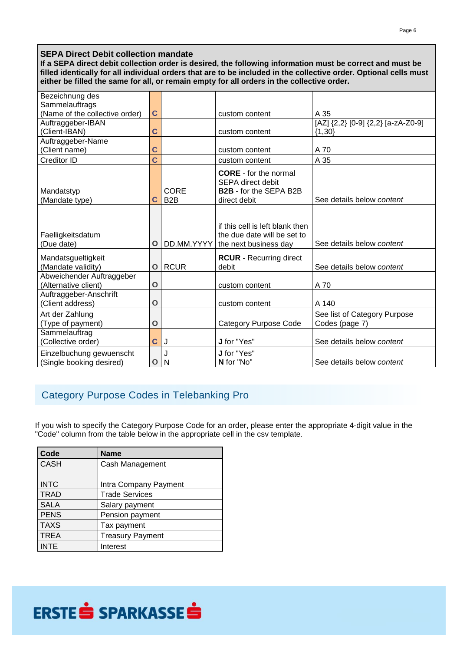#### **SEPA Direct Debit collection mandate**

If a SEPA direct debit collection order is desired, the following information must be correct and must be filled identically for all individual orders that are to be included in the collective order. Optional cells must **either be filled the same for all, or remain empty for all orders in the collective order.**

| Bezeichnung des                                                                                |                  |                  |                                  |                                    |
|------------------------------------------------------------------------------------------------|------------------|------------------|----------------------------------|------------------------------------|
| Sammelauftrags                                                                                 |                  |                  |                                  |                                    |
| (Name of the collective order)                                                                 | C                |                  | custom content                   | A 35                               |
| Auftraggeber-IBAN                                                                              |                  |                  |                                  | [AZ] {2,2} [0-9] {2,2} [a-zA-Z0-9] |
| (Client-IBAN)                                                                                  | С                |                  | custom content                   | ${1,30}$                           |
| Auftraggeber-Name                                                                              |                  |                  |                                  |                                    |
| (Client name)                                                                                  | C                |                  | custom content                   | A 70                               |
| Creditor ID                                                                                    | Ć                |                  | custom content                   | A 35                               |
|                                                                                                |                  |                  | <b>CORE</b> - for the normal     |                                    |
|                                                                                                |                  |                  | <b>SEPA direct debit</b>         |                                    |
| Mandatstyp                                                                                     |                  | CORE             | B2B - for the SEPA B2B           |                                    |
| (Mandate type)                                                                                 | С                | B <sub>2</sub> B | direct debit                     | See details below content          |
|                                                                                                |                  |                  |                                  |                                    |
|                                                                                                |                  |                  | if this cell is left blank then  |                                    |
| Faelligkeitsdatum                                                                              |                  |                  | the due date will be set to      |                                    |
| (Due date)                                                                                     | O                | DD.MM.YYYY       | the next business day            | See details below content          |
|                                                                                                |                  |                  |                                  |                                    |
| Mandatsgueltigkeit                                                                             |                  |                  | <b>RCUR</b> - Recurring direct   |                                    |
| (Mandate validity)                                                                             | O                | <b>RCUR</b>      | debit                            | See details below content          |
| Abweichender Auftraggeber                                                                      |                  |                  |                                  |                                    |
|                                                                                                |                  |                  |                                  |                                    |
|                                                                                                |                  |                  |                                  |                                    |
|                                                                                                |                  |                  |                                  |                                    |
| Art der Zahlung                                                                                |                  |                  |                                  | See list of Category Purpose       |
| (Type of payment)                                                                              | O                |                  | <b>Category Purpose Code</b>     | Codes (page 7)                     |
| Sammelauftrag                                                                                  |                  |                  |                                  |                                    |
| (Collective order)                                                                             | С                | J                | J for "Yes"                      | See details below content          |
|                                                                                                |                  | J                | J for "Yes"                      |                                    |
| (Single booking desired)                                                                       | O                | N                | N for "No"                       | See details below content          |
| (Alternative client)<br>Auftraggeber-Anschrift<br>(Client address)<br>Einzelbuchung gewuenscht | $\mathbf O$<br>O |                  | custom content<br>custom content | A 70<br>A 140                      |

### Category Purpose Codes in Telebanking Pro

If you wish to specify the Category Purpose Code for an order, please enter the appropriate 4-digit value in the "Code" column from the table below in the appropriate cell in the csv template.

| Code        | <b>Name</b>             |
|-------------|-------------------------|
| <b>CASH</b> | Cash Management         |
|             |                         |
| <b>INTC</b> | Intra Company Payment   |
| <b>TRAD</b> | <b>Trade Services</b>   |
| <b>SALA</b> | Salary payment          |
| PENS        | Pension payment         |
| <b>TAXS</b> | Tax payment             |
| <b>TREA</b> | <b>Treasury Payment</b> |
| <b>INTE</b> | Interest                |

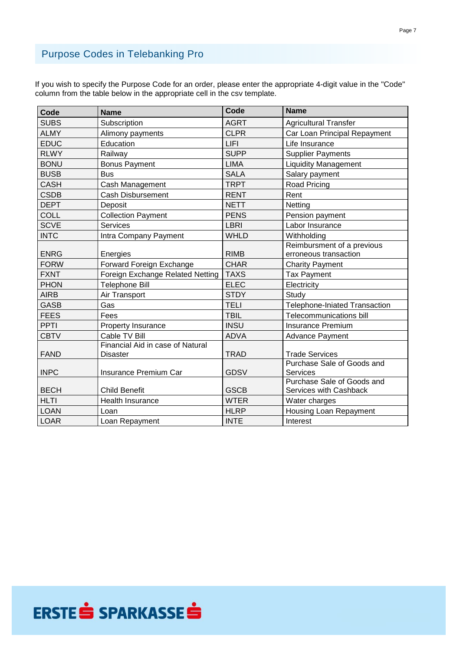### Purpose Codes in Telebanking Pro

If you wish to specify the Purpose Code for an order, please enter the appropriate 4-digit value in the "Code" column from the table below in the appropriate cell in the csv template.

| Code        | <b>Name</b>                      | Code        | <b>Name</b>                          |
|-------------|----------------------------------|-------------|--------------------------------------|
| <b>SUBS</b> | Subscription                     | <b>AGRT</b> | <b>Agricultural Transfer</b>         |
| <b>ALMY</b> | Alimony payments                 | <b>CLPR</b> | Car Loan Principal Repayment         |
| <b>EDUC</b> | Education                        | LIFI        | Life Insurance                       |
| <b>RLWY</b> | Railway                          | <b>SUPP</b> | <b>Supplier Payments</b>             |
| <b>BONU</b> | <b>Bonus Payment</b>             | <b>LIMA</b> | <b>Liquidity Management</b>          |
| <b>BUSB</b> | <b>Bus</b>                       | <b>SALA</b> | Salary payment                       |
| <b>CASH</b> | Cash Management                  | <b>TRPT</b> | Road Pricing                         |
| <b>CSDB</b> | <b>Cash Disbursement</b>         | <b>RENT</b> | Rent                                 |
| <b>DEPT</b> | Deposit                          | <b>NETT</b> | Netting                              |
| COLL        | <b>Collection Payment</b>        | <b>PENS</b> | Pension payment                      |
| <b>SCVE</b> | <b>Services</b>                  | <b>LBRI</b> | Labor Insurance                      |
| <b>INTC</b> | Intra Company Payment            | <b>WHLD</b> | Withholding                          |
|             |                                  |             | Reimbursment of a previous           |
| <b>ENRG</b> | Energies                         | <b>RIMB</b> | erroneous transaction                |
| <b>FORW</b> | Forward Foreign Exchange         | <b>CHAR</b> | <b>Charity Payment</b>               |
| <b>FXNT</b> | Foreign Exchange Related Netting | <b>TAXS</b> | <b>Tax Payment</b>                   |
| <b>PHON</b> | Telephone Bill                   | <b>ELEC</b> | Electricity                          |
| <b>AIRB</b> | Air Transport                    | <b>STDY</b> | Study                                |
| <b>GASB</b> | Gas                              | <b>TELI</b> | <b>Telephone-Iniated Transaction</b> |
| <b>FEES</b> | Fees                             | <b>TBIL</b> | Telecommunications bill              |
| <b>PPTI</b> | Property Insurance               | <b>INSU</b> | <b>Insurance Premium</b>             |
| <b>CBTV</b> | Cable TV Bill                    | <b>ADVA</b> | <b>Advance Payment</b>               |
|             | Financial Aid in case of Natural |             |                                      |
| <b>FAND</b> | Disaster                         | <b>TRAD</b> | <b>Trade Services</b>                |
|             |                                  |             | Purchase Sale of Goods and           |
| <b>INPC</b> | Insurance Premium Car            | <b>GDSV</b> | <b>Services</b>                      |
|             | <b>Child Benefit</b>             |             | Purchase Sale of Goods and           |
| <b>BECH</b> |                                  | <b>GSCB</b> | Services with Cashback               |
| <b>HLTI</b> | <b>Health Insurance</b>          | <b>WTER</b> | Water charges                        |
| <b>LOAN</b> | Loan                             | <b>HLRP</b> | Housing Loan Repayment               |
| <b>LOAR</b> | Loan Repayment                   | <b>INTE</b> | Interest                             |